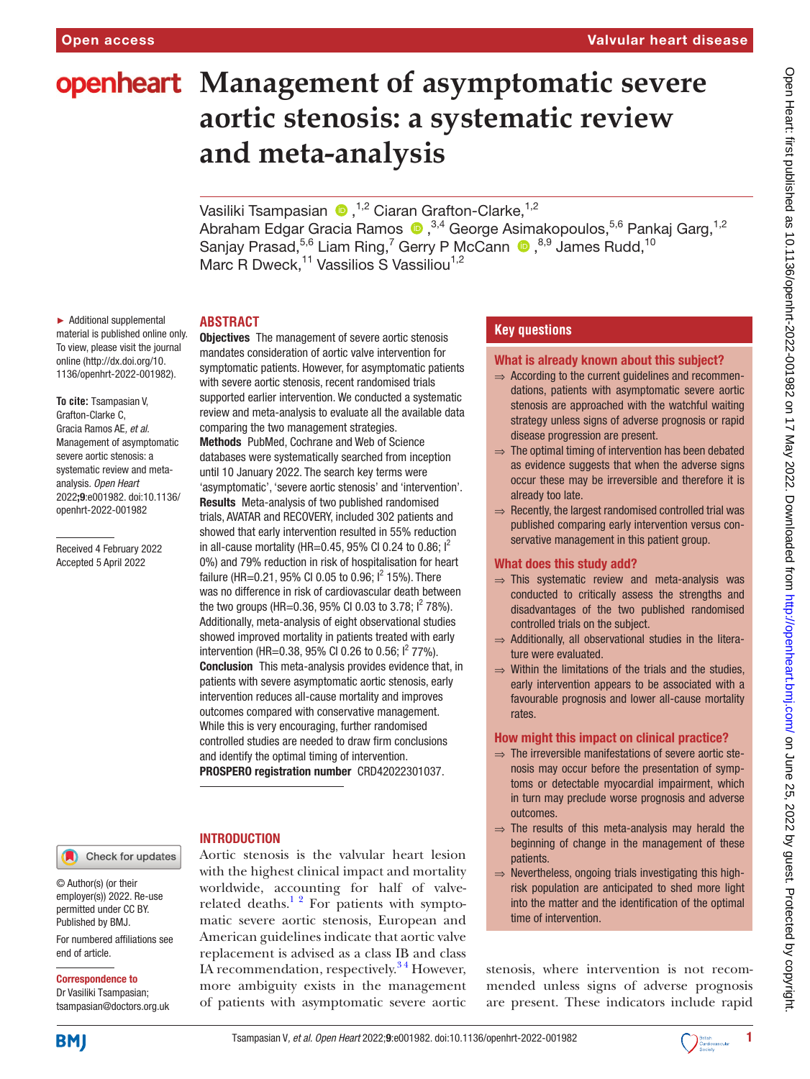# **openheart** Management of asymptomatic severe **aortic stenosis: a systematic review and meta-analysis**

VasilikiTsampasian <sup>® 1,2</sup> Ciaran Grafton-Clarke,<sup>1,2</sup> Abraham Edgar Gracia Ramos  $\bigcirc$  ,<sup>3,4</sup> George Asimakopoulos,<sup>5,6</sup> Pankaj Garg,<sup>1,2</sup> SanjayPrasad,<sup>5,6</sup> Liam Ring,<sup>7</sup> Gerry P McCann <sup>®,8,9</sup> James Rudd,<sup>10</sup> Marc R Dweck,<sup>11</sup> Vassilios S Vassiliou<sup>1,2</sup>

## **ABSTRACT**

► Additional supplemental material is published online only. To view, please visit the journal online [\(http://dx.doi.org/10.](http://dx.doi.org/10.1136/openhrt-2022-001982) [1136/openhrt-2022-001982\)](http://dx.doi.org/10.1136/openhrt-2022-001982).

**To cite:** Tsampasian V, Grafton-Clarke C, Gracia Ramos AE*, et al*. Management of asymptomatic severe aortic stenosis: a systematic review and metaanalysis*. Open Heart* 2022;9:e001982. doi:10.1136/ openhrt-2022-001982

Received 4 February 2022 Accepted 5 April 2022

mandates consideration of aortic valve intervention for symptomatic patients. However, for asymptomatic patients with severe aortic stenosis, recent randomised trials supported earlier intervention. We conducted a systematic review and meta-analysis to evaluate all the available data comparing the two management strategies. Methods PubMed, Cochrane and Web of Science databases were systematically searched from inception until 10 January 2022. The search key terms were 'asymptomatic', 'severe aortic stenosis' and 'intervention'. Results Meta-analysis of two published randomised trials, AVATAR and RECOVERY, included 302 patients and showed that early intervention resulted in 55% reduction in all-cause mortality (HR=0.45, 95% CI 0.24 to 0.86;  $I^2$ 0%) and 79% reduction in risk of hospitalisation for heart failure (HR=0.21, 95% CI 0.05 to 0.96; I<sup>2</sup> 15%). There was no difference in risk of cardiovascular death between the two groups (HR=0.36, 95% CI 0.03 to 3.78;  $1^2$  78%). Additionally, meta-analysis of eight observational studies showed improved mortality in patients treated with early intervention (HR=0.38, 95% CI 0.26 to 0.56;  $1^2$  77%). Conclusion This meta-analysis provides evidence that, in patients with severe asymptomatic aortic stenosis, early intervention reduces all-cause mortality and improves outcomes compared with conservative management. While this is very encouraging, further randomised controlled studies are needed to draw firm conclusions and identify the optimal timing of intervention. PROSPERO registration number CRD42022301037.

**Objectives** The management of severe aortic stenosis

## INTRODUCTION

Aortic stenosis is the valvular heart lesion with the highest clinical impact and mortality worldwide, accounting for half of valverelated deaths. $12$  For patients with symptomatic severe aortic stenosis, European and American guidelines indicate that aortic valve replacement is advised as a class IB and class IA recommendation, respectively.<sup>34</sup> However, more ambiguity exists in the management of patients with asymptomatic severe aortic

# **Key questions**

#### What is already known about this subject?

- ⇒ According to the current guidelines and recommendations, patients with asymptomatic severe aortic stenosis are approached with the watchful waiting strategy unless signs of adverse prognosis or rapid disease progression are present.
- ⇒ The optimal timing of intervention has been debated as evidence suggests that when the adverse signs occur these may be irreversible and therefore it is already too late.
- ⇒ Recently, the largest randomised controlled trial was published comparing early intervention versus conservative management in this patient group.

#### What does this study add?

- ⇒ This systematic review and meta-analysis was conducted to critically assess the strengths and disadvantages of the two published randomised controlled trials on the subject.
- $\Rightarrow$  Additionally, all observational studies in the literature were evaluated.
- $\Rightarrow$  Within the limitations of the trials and the studies. early intervention appears to be associated with a favourable prognosis and lower all-cause mortality rates.

## How might this impact on clinical practice?

- $\Rightarrow$  The irreversible manifestations of severe aortic stenosis may occur before the presentation of symptoms or detectable myocardial impairment, which in turn may preclude worse prognosis and adverse outcomes.
- $\Rightarrow$  The results of this meta-analysis may herald the beginning of change in the management of these patients.
- ⇒ Nevertheless, ongoing trials investigating this highrisk population are anticipated to shed more light into the matter and the identification of the optimal time of intervention.

stenosis, where intervention is not recommended unless signs of adverse prognosis are present. These indicators include rapid

Correspondence to

end of article.

© Author(s) (or their employer(s)) 2022. Re-use permitted under CC BY. Published by BMJ.

Dr Vasiliki Tsampasian; tsampasian@doctors.org.uk

For numbered affiliations see

Check for updates

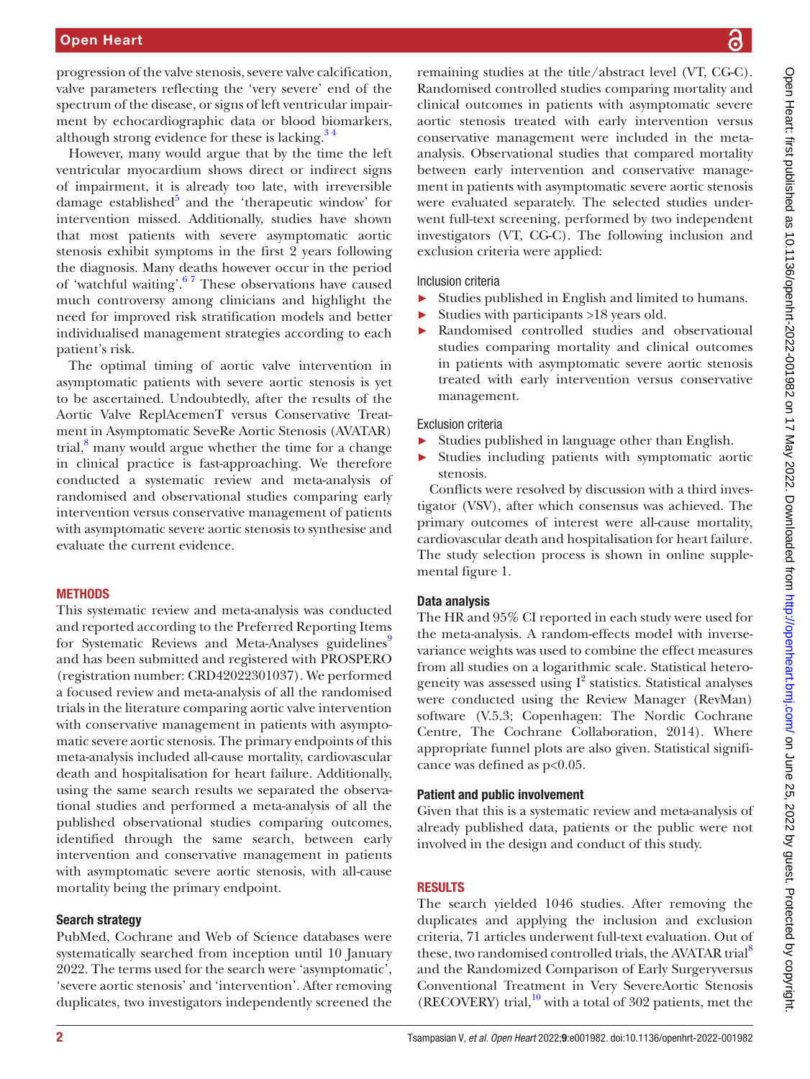progression of the valve stenosis, severe valve calcification, valve parameters reflecting the 'very severe' end of the spectrum of the disease, or signs of left ventricular impairment by echocardiographic data or blood biomarkers, although strong evidence for these is lacking. $34$ 

However, many would argue that by the time the left ventricular myocardium shows direct or indirect signs of impairment, it is already too late, with irreversible damage established<sup>[5](#page-8-2)</sup> and the 'therapeutic window' for intervention missed. Additionally, studies have shown that most patients with severe asymptomatic aortic stenosis exhibit symptoms in the first 2 years following the diagnosis. Many deaths however occur in the period of 'watchful waiting'[.6 7](#page-8-3) These observations have caused much controversy among clinicians and highlight the need for improved risk stratification models and better individualised management strategies according to each patient's risk.

The optimal timing of aortic valve intervention in asymptomatic patients with severe aortic stenosis is yet to be ascertained. Undoubtedly, after the results of the Aortic Valve ReplAcemenT versus Conservative Treatment in Asymptomatic SeveRe Aortic Stenosis (AVATAR) trial,<sup>[8](#page-8-4)</sup> many would argue whether the time for a change in clinical practice is fast-approaching. We therefore conducted a systematic review and meta-analysis of randomised and observational studies comparing early intervention versus conservative management of patients with asymptomatic severe aortic stenosis to synthesise and evaluate the current evidence.

#### **METHODS**

This systematic review and meta-analysis was conducted and reported according to the Preferred Reporting Items for Systematic Reviews and Meta-Analyses guidelines<sup>[9](#page-8-5)</sup> and has been submitted and registered with PROSPERO (registration number: CRD42022301037). We performed a focused review and meta-analysis of all the randomised trials in the literature comparing aortic valve intervention with conservative management in patients with asymptomatic severe aortic stenosis. The primary endpoints of this meta-analysis included all-cause mortality, cardiovascular death and hospitalisation for heart failure. Additionally, using the same search results we separated the observational studies and performed a meta-analysis of all the published observational studies comparing outcomes, identified through the same search, between early intervention and conservative management in patients with asymptomatic severe aortic stenosis, with all-cause mortality being the primary endpoint.

## Search strategy

PubMed, Cochrane and Web of Science databases were systematically searched from inception until 10 January 2022. The terms used for the search were 'asymptomatic', 'severe aortic stenosis' and 'intervention'. After removing duplicates, two investigators independently screened the

remaining studies at the title/abstract level (VT, CG-C). Randomised controlled studies comparing mortality and clinical outcomes in patients with asymptomatic severe aortic stenosis treated with early intervention versus conservative management were included in the metaanalysis. Observational studies that compared mortality between early intervention and conservative management in patients with asymptomatic severe aortic stenosis were evaluated separately. The selected studies underwent full-text screening, performed by two independent investigators (VT, CG-C). The following inclusion and exclusion criteria were applied:

#### Inclusion criteria

- ► Studies published in English and limited to humans.
- ► Studies with participants >18 years old.
- ► Randomised controlled studies and observational studies comparing mortality and clinical outcomes in patients with asymptomatic severe aortic stenosis treated with early intervention versus conservative management.

#### Exclusion criteria

- ► Studies published in language other than English.
- ► Studies including patients with symptomatic aortic stenosis.

Conflicts were resolved by discussion with a third investigator (VSV), after which consensus was achieved. The primary outcomes of interest were all-cause mortality, cardiovascular death and hospitalisation for heart failure. The study selection process is shown in [online supple](https://dx.doi.org/10.1136/openhrt-2022-001982)[mental figure 1.](https://dx.doi.org/10.1136/openhrt-2022-001982)

## Data analysis

The HR and 95% CI reported in each study were used for the meta-analysis. A random-effects model with inversevariance weights was used to combine the effect measures from all studies on a logarithmic scale. Statistical heterogeneity was assessed using  $I^2$  statistics. Statistical analyses were conducted using the Review Manager (RevMan) software (V.5.3; Copenhagen: The Nordic Cochrane Centre, The Cochrane Collaboration, 2014). Where appropriate funnel plots are also given. Statistical significance was defined as p<0.05.

## Patient and public involvement

Given that this is a systematic review and meta-analysis of already published data, patients or the public were not involved in the design and conduct of this study.

## RESULTS

The search yielded 1046 studies. After removing the duplicates and applying the inclusion and exclusion criteria, 71 articles underwent full-text evaluation. Out of these, two randomised controlled trials, the AVATAR trial<sup>8</sup> and the Randomized Comparison of Early Surgeryversus Conventional Treatment in Very SevereAortic Stenosis (RECOVERY) trial, $^{10}$  with a total of 302 patients, met the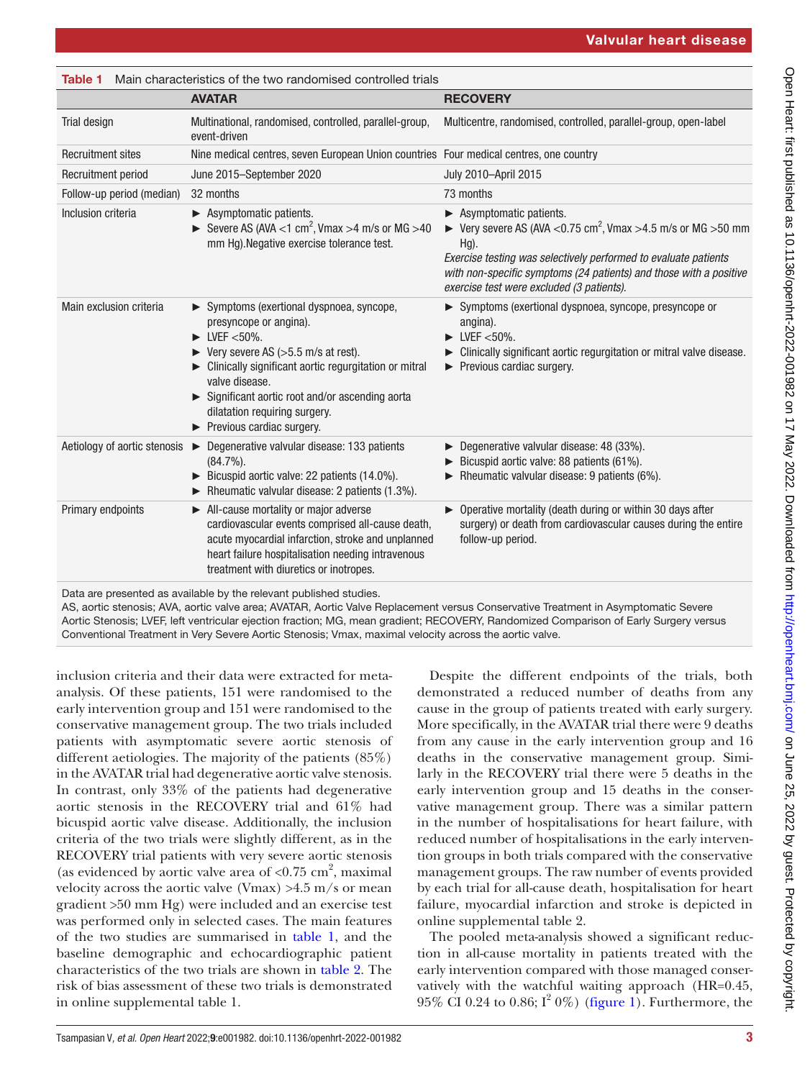<span id="page-2-0"></span>

| Table 1                      | Main characteristics of the two randomised controlled trials                                                                                                                                                                                                                                                                           |                                                                                                                                                                                                                                                                                                                                |  |  |  |  |
|------------------------------|----------------------------------------------------------------------------------------------------------------------------------------------------------------------------------------------------------------------------------------------------------------------------------------------------------------------------------------|--------------------------------------------------------------------------------------------------------------------------------------------------------------------------------------------------------------------------------------------------------------------------------------------------------------------------------|--|--|--|--|
|                              | <b>AVATAR</b>                                                                                                                                                                                                                                                                                                                          | <b>RECOVERY</b>                                                                                                                                                                                                                                                                                                                |  |  |  |  |
| Trial design                 | Multinational, randomised, controlled, parallel-group,<br>event-driven                                                                                                                                                                                                                                                                 | Multicentre, randomised, controlled, parallel-group, open-label                                                                                                                                                                                                                                                                |  |  |  |  |
| <b>Recruitment sites</b>     | Nine medical centres, seven European Union countries Four medical centres, one country                                                                                                                                                                                                                                                 |                                                                                                                                                                                                                                                                                                                                |  |  |  |  |
| Recruitment period           | June 2015–September 2020                                                                                                                                                                                                                                                                                                               | July 2010-April 2015                                                                                                                                                                                                                                                                                                           |  |  |  |  |
| Follow-up period (median)    | 32 months                                                                                                                                                                                                                                                                                                                              | 73 months                                                                                                                                                                                                                                                                                                                      |  |  |  |  |
| Inclusion criteria           | $\blacktriangleright$ Asymptomatic patients.<br>Severe AS (AVA <1 cm <sup>2</sup> , Vmax >4 m/s or MG >40<br>mm Hg). Negative exercise tolerance test.                                                                                                                                                                                 | $\blacktriangleright$ Asymptomatic patients.<br>► Very severe AS (AVA < $0.75$ cm <sup>2</sup> , Vmax > 4.5 m/s or MG > 50 mm<br>$Hg$ ).<br>Exercise testing was selectively performed to evaluate patients<br>with non-specific symptoms (24 patients) and those with a positive<br>exercise test were excluded (3 patients). |  |  |  |  |
| Main exclusion criteria      | Symptoms (exertional dyspnoea, syncope,<br>presyncope or angina).<br>$\blacktriangleright$ LVEF <50%.<br>Very severe AS (>5.5 m/s at rest).<br>Clinically significant aortic regurgitation or mitral<br>valve disease.<br>Significant aortic root and/or ascending aorta<br>dilatation requiring surgery.<br>Previous cardiac surgery. | > Symptoms (exertional dyspnoea, syncope, presyncope or<br>angina).<br>$\blacktriangleright$ LVEF <50%.<br>• Clinically significant aortic regurgitation or mitral valve disease.<br>Previous cardiac surgery.                                                                                                                 |  |  |  |  |
| Aetiology of aortic stenosis | $\triangleright$ Degenerative valvular disease: 133 patients<br>$(84.7\%)$ .<br>Bicuspid aortic valve: 22 patients (14.0%).<br>$\triangleright$ Rheumatic valvular disease: 2 patients (1.3%).                                                                                                                                         | ▶ Degenerative valvular disease: 48 (33%).<br>Bicuspid aortic valve: 88 patients (61%).<br>Rheumatic valvular disease: 9 patients $(6\%)$ .                                                                                                                                                                                    |  |  |  |  |
| Primary endpoints            | All-cause mortality or major adverse<br>cardiovascular events comprised all-cause death,<br>acute myocardial infarction, stroke and unplanned<br>heart failure hospitalisation needing intravenous<br>treatment with diuretics or inotropes.                                                                                           | ▶ Operative mortality (death during or within 30 days after<br>surgery) or death from cardiovascular causes during the entire<br>follow-up period.                                                                                                                                                                             |  |  |  |  |

Data are presented as available by the relevant published studies.

AS, aortic stenosis; AVA, aortic valve area; AVATAR, Aortic Valve Replacement versus Conservative Treatment in Asymptomatic Severe Aortic Stenosis; LVEF, left ventricular ejection fraction; MG, mean gradient; RECOVERY, Randomized Comparison of Early Surgery versus Conventional Treatment in Very Severe Aortic Stenosis; Vmax, maximal velocity across the aortic valve.

inclusion criteria and their data were extracted for metaanalysis. Of these patients, 151 were randomised to the early intervention group and 151 were randomised to the conservative management group. The two trials included patients with asymptomatic severe aortic stenosis of different aetiologies. The majority of the patients (85%) in the AVATAR trial had degenerative aortic valve stenosis. In contrast, only 33% of the patients had degenerative aortic stenosis in the RECOVERY trial and 61% had bicuspid aortic valve disease. Additionally, the inclusion criteria of the two trials were slightly different, as in the RECOVERY trial patients with very severe aortic stenosis (as evidenced by aortic valve area of  $< 0.75$  cm<sup>2</sup>, maximal velocity across the aortic valve (Vmax)  $>4.5$  m/s or mean gradient >50 mm Hg) were included and an exercise test was performed only in selected cases. The main features of the two studies are summarised in [table](#page-2-0) 1, and the baseline demographic and echocardiographic patient characteristics of the two trials are shown in [table](#page-3-0) 2. The risk of bias assessment of these two trials is demonstrated in [online supplemental table 1.](https://dx.doi.org/10.1136/openhrt-2022-001982)

Despite the different endpoints of the trials, both demonstrated a reduced number of deaths from any cause in the group of patients treated with early surgery. More specifically, in the AVATAR trial there were 9 deaths from any cause in the early intervention group and 16 deaths in the conservative management group. Similarly in the RECOVERY trial there were 5 deaths in the early intervention group and 15 deaths in the conservative management group. There was a similar pattern in the number of hospitalisations for heart failure, with reduced number of hospitalisations in the early intervention groups in both trials compared with the conservative management groups. The raw number of events provided by each trial for all-cause death, hospitalisation for heart failure, myocardial infarction and stroke is depicted in [online supplemental table 2.](https://dx.doi.org/10.1136/openhrt-2022-001982)

The pooled meta-analysis showed a significant reduction in all-cause mortality in patients treated with the early intervention compared with those managed conservatively with the watchful waiting approach (HR=0.45,  $95\%$  CI 0.24 to 0.86; I<sup>2</sup> 0%) ([figure](#page-3-1) 1). Furthermore, the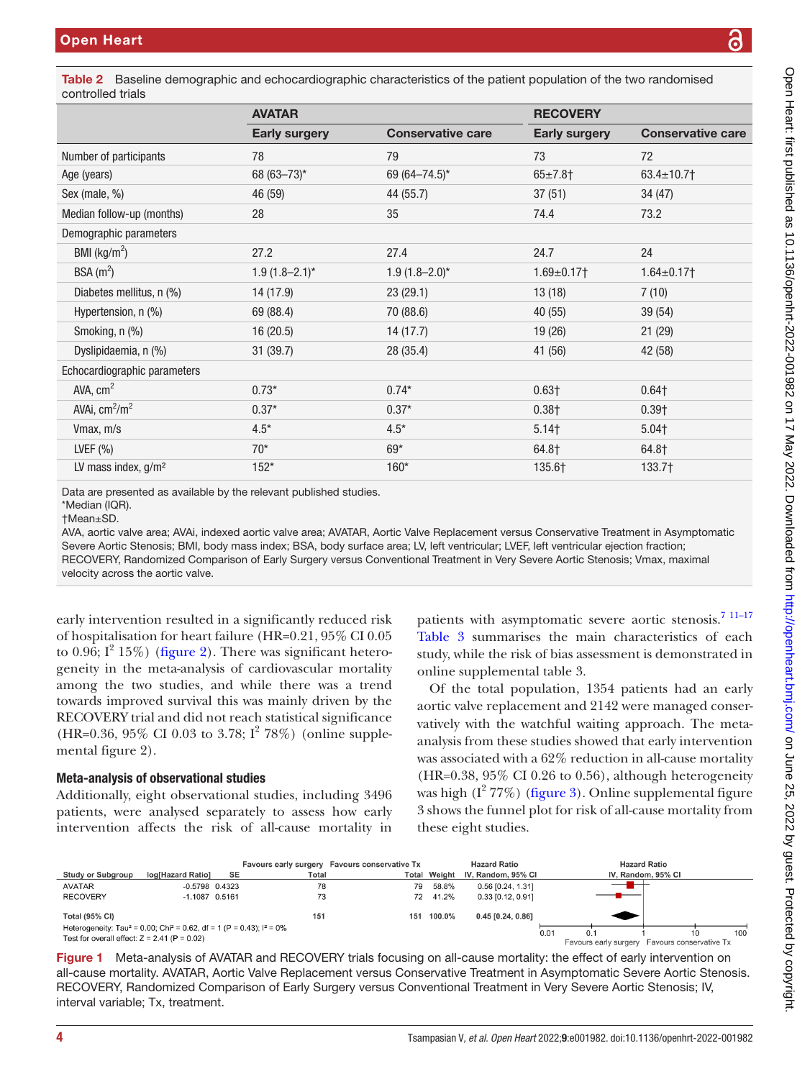<span id="page-3-0"></span>Table 2 Baseline demographic and echocardiographic characteristics of the patient population of the two randomised controlled trials

|                              | <b>AVATAR</b>        |                          | <b>RECOVERY</b>      |                          |  |
|------------------------------|----------------------|--------------------------|----------------------|--------------------------|--|
|                              | <b>Early surgery</b> | <b>Conservative care</b> | <b>Early surgery</b> | <b>Conservative care</b> |  |
| Number of participants       | 78                   | 79                       | 73                   | 72                       |  |
| Age (years)                  | 68 (63-73)*          | 69 (64 - 74.5)*          | $65 \pm 7.8$ †       | $63.4 \pm 10.7$          |  |
| Sex (male, %)                | 46 (59)              | 44 (55.7)                | 37(51)               | 34 (47)                  |  |
| Median follow-up (months)    | 28                   | 35                       | 74.4                 | 73.2                     |  |
| Demographic parameters       |                      |                          |                      |                          |  |
| BMI $(kg/m2)$                | 27.2                 | 27.4                     | 24.7                 | 24                       |  |
| BSA $(m^2)$                  | $1.9(1.8 - 2.1)^{*}$ | $1.9(1.8 - 2.0)^*$       | $1.69 \pm 0.17$      | $1.64 \pm 0.17$          |  |
| Diabetes mellitus, n (%)     | 14 (17.9)            | 23(29.1)                 | 13(18)               | 7(10)                    |  |
| Hypertension, n (%)          | 69 (88.4)            | 70 (88.6)                | 40(55)               | 39(54)                   |  |
| Smoking, n (%)               | 16(20.5)             | 14(17.7)                 | 19(26)               | 21 (29)                  |  |
| Dyslipidaemia, n (%)         | 31 (39.7)            | 28 (35.4)                | 41 (56)              | 42 (58)                  |  |
| Echocardiographic parameters |                      |                          |                      |                          |  |
| AVA, $cm2$                   | $0.73*$              | $0.74*$                  | $0.63\dagger$        | $0.64$ †                 |  |
| AVAi, $cm2/m2$               | $0.37*$              | $0.37*$                  | 0.38 <sub>†</sub>    | 0.39 <sub>†</sub>        |  |
| Vmax, m/s                    | $4.5*$               | $4.5*$                   | 5.14 <sub>†</sub>    | 5.04 <sub>†</sub>        |  |
| LVEF $(% )$                  | $70*$                | $69*$                    | 64.8†                | 64.8†                    |  |
| LV mass index, $g/m^2$       | $152*$               | 160*                     | 135.6†               | 133.7†                   |  |
|                              |                      |                          |                      |                          |  |

Data are presented as available by the relevant published studies.

AVA, aortic valve area; AVAi, indexed aortic valve area; AVATAR, Aortic Valve Replacement versus Conservative Treatment in Asymptomatic Severe Aortic Stenosis; BMI, body mass index; BSA, body surface area; LV, left ventricular; LVEF, left ventricular ejection fraction; RECOVERY, Randomized Comparison of Early Surgery versus Conventional Treatment in Very Severe Aortic Stenosis; Vmax, maximal velocity across the aortic valve.

early intervention resulted in a significantly reduced risk of hospitalisation for heart failure (HR=0.21, 95% CI 0.05 to 0.96;  $I^2$  15%) [\(figure](#page-4-0) 2). There was significant heterogeneity in the meta-analysis of cardiovascular mortality among the two studies, and while there was a trend towards improved survival this was mainly driven by the RECOVERY trial and did not reach statistical significance (HR=0.36, 95% CI 0.03 to 3.78;  $I^2$  78%) ([online supple](https://dx.doi.org/10.1136/openhrt-2022-001982)[mental figure 2](https://dx.doi.org/10.1136/openhrt-2022-001982)).

## Meta-analysis of observational studies

Additionally, eight observational studies, including 3496 patients, were analysed separately to assess how early intervention affects the risk of all-cause mortality in

patients with asymptomatic severe aortic stenosis.<sup>7</sup> <sup>11-17</sup> [Table](#page-5-0) 3 summarises the main characteristics of each study, while the risk of bias assessment is demonstrated in [online supplemental table 3.](https://dx.doi.org/10.1136/openhrt-2022-001982)

Of the total population, 1354 patients had an early aortic valve replacement and 2142 were managed conservatively with the watchful waiting approach. The metaanalysis from these studies showed that early intervention was associated with a 62% reduction in all-cause mortality  $(HR=0.38, 95\% \text{ CI } 0.26 \text{ to } 0.56)$ , although heterogeneity was high  $(I^2 77%)$  [\(figure](#page-6-0) 3). Online supplemental figure [3](https://dx.doi.org/10.1136/openhrt-2022-001982) shows the funnel plot for risk of all-cause mortality from these eight studies.



<span id="page-3-1"></span>Figure 1 Meta-analysis of AVATAR and RECOVERY trials focusing on all-cause mortality: the effect of early intervention on all-cause mortality. AVATAR, Aortic Valve Replacement versus Conservative Treatment in Asymptomatic Severe Aortic Stenosis. RECOVERY, Randomized Comparison of Early Surgery versus Conventional Treatment in Very Severe Aortic Stenosis; IV, interval variable; Tx, treatment.

<sup>\*</sup>Median (IQR). †Mean±SD.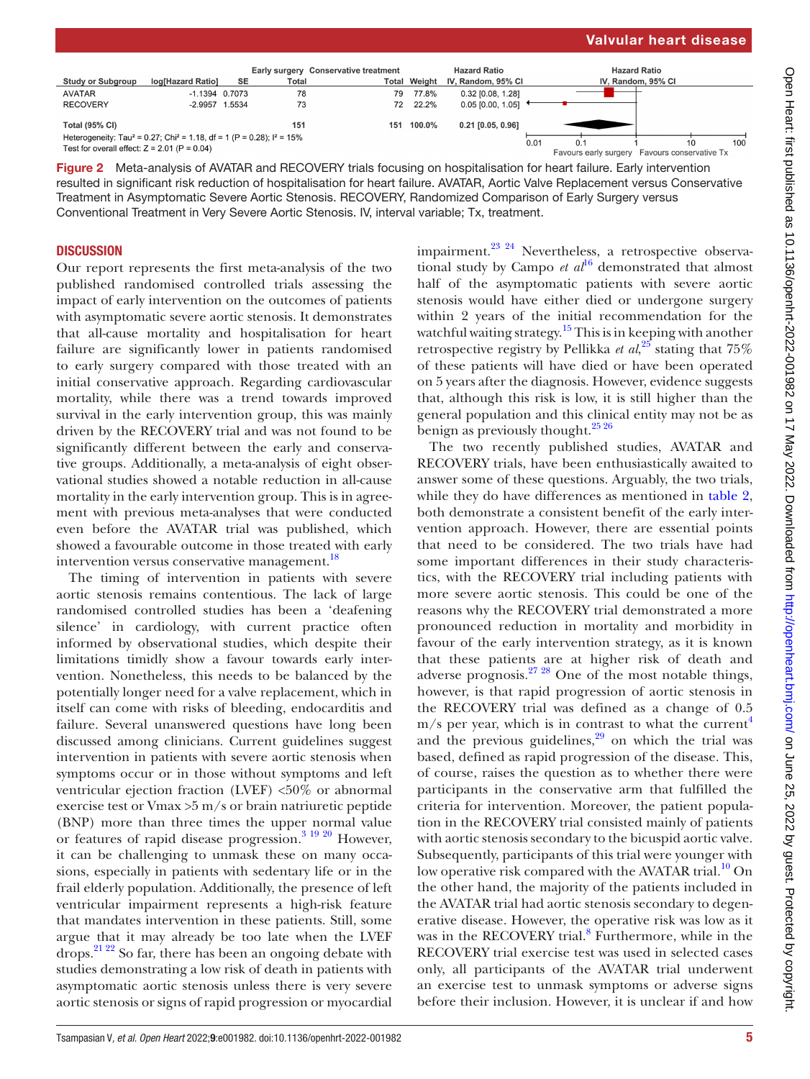**Hazard Ratio** 

IV, Random, 95% CI



79 77.8%

**Total Weight** 

**Hazard Ratio** 

IV, Random, 95% CI

0.32 [0.08, 1.28]

**Conservative treatment** 

**Early surgery** 

Total

78

**SE** 

 $-1.1394$  0.7073

log[Hazard Ratio]

## **DISCUSSION**

**Study or Subgroup** 

<span id="page-4-0"></span>**AVATAR** 

Our report represents the first meta-analysis of the two published randomised controlled trials assessing the impact of early intervention on the outcomes of patients with asymptomatic severe aortic stenosis. It demonstrates that all-cause mortality and hospitalisation for heart failure are significantly lower in patients randomised to early surgery compared with those treated with an initial conservative approach. Regarding cardiovascular mortality, while there was a trend towards improved survival in the early intervention group, this was mainly driven by the RECOVERY trial and was not found to be significantly different between the early and conservative groups. Additionally, a meta-analysis of eight observational studies showed a notable reduction in all-cause mortality in the early intervention group. This is in agreement with previous meta-analyses that were conducted even before the AVATAR trial was published, which showed a favourable outcome in those treated with early intervention versus conservative management.<sup>[18](#page-8-8)</sup>

The timing of intervention in patients with severe aortic stenosis remains contentious. The lack of large randomised controlled studies has been a 'deafening silence' in cardiology, with current practice often informed by observational studies, which despite their limitations timidly show a favour towards early intervention. Nonetheless, this needs to be balanced by the potentially longer need for a valve replacement, which in itself can come with risks of bleeding, endocarditis and failure. Several unanswered questions have long been discussed among clinicians. Current guidelines suggest intervention in patients with severe aortic stenosis when symptoms occur or in those without symptoms and left ventricular ejection fraction (LVEF) <50% or abnormal exercise test or Vmax >5 m/s or brain natriuretic peptide (BNP) more than three times the upper normal value or features of rapid disease progression.<sup>3</sup> <sup>19</sup> <sup>20</sup> However, it can be challenging to unmask these on many occasions, especially in patients with sedentary life or in the frail elderly population. Additionally, the presence of left ventricular impairment represents a high-risk feature that mandates intervention in these patients. Still, some argue that it may already be too late when the LVEF drops.[21 22](#page-8-9) So far, there has been an ongoing debate with studies demonstrating a low risk of death in patients with asymptomatic aortic stenosis unless there is very severe

impairment.<sup>23</sup> <sup>24</sup> Nevertheless, a retrospective observational study by Campo  $et \t a l^{16}$  demonstrated that almost half of the asymptomatic patients with severe aortic stenosis would have either died or undergone surgery within 2 years of the initial recommendation for the watchful waiting strategy.<sup>15</sup> This is in keeping with another retrospective registry by Pellikka *et al*,<sup>25</sup> stating that 75% of these patients will have died or have been operated on 5 years after the diagnosis. However, evidence suggests that, although this risk is low, it is still higher than the general population and this clinical entity may not be as benign as previously thought.<sup>25</sup><sup>26</sup>

The two recently published studies, AVATAR and RECOVERY trials, have been enthusiastically awaited to answer some of these questions. Arguably, the two trials, while they do have differences as mentioned in [table](#page-3-0) 2, both demonstrate a consistent benefit of the early intervention approach. However, there are essential points that need to be considered. The two trials have had some important differences in their study characteristics, with the RECOVERY trial including patients with more severe aortic stenosis. This could be one of the reasons why the RECOVERY trial demonstrated a more pronounced reduction in mortality and morbidity in favour of the early intervention strategy, as it is known that these patients are at higher risk of death and adverse prognosis.[27 28](#page-8-14) One of the most notable things, however, is that rapid progression of aortic stenosis in the RECOVERY trial was defined as a change of 0.5  $m/s$  per year, which is in contrast to what the current<sup>[4](#page-8-15)</sup> and the previous guidelines, $29$  on which the trial was based, defined as rapid progression of the disease. This, of course, raises the question as to whether there were participants in the conservative arm that fulfilled the criteria for intervention. Moreover, the patient population in the RECOVERY trial consisted mainly of patients with aortic stenosis secondary to the bicuspid aortic valve. Subsequently, participants of this trial were younger with low operative risk compared with the AVATAR trial.<sup>[10](#page-8-6)</sup> On the other hand, the majority of the patients included in the AVATAR trial had aortic stenosis secondary to degenerative disease. However, the operative risk was low as it was in the RECOVERY trial.<sup>[8](#page-8-4)</sup> Furthermore, while in the RECOVERY trial exercise test was used in selected cases only, all participants of the AVATAR trial underwent an exercise test to unmask symptoms or adverse signs before their inclusion. However, it is unclear if and how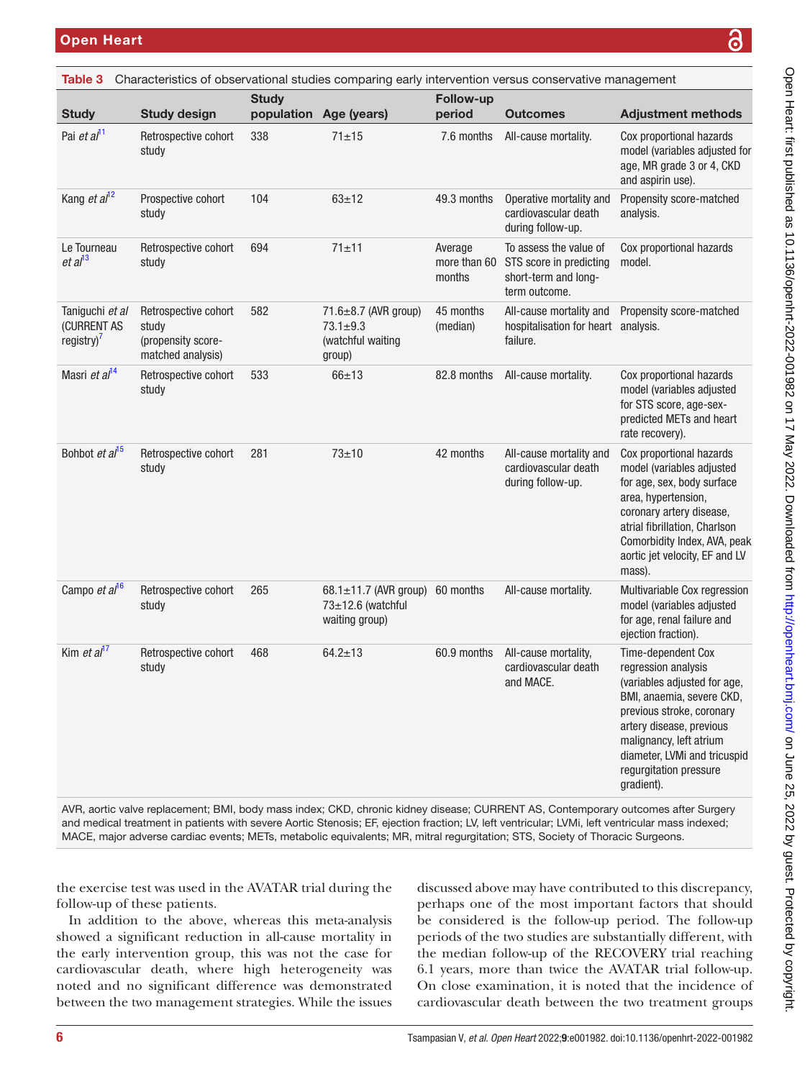<span id="page-5-0"></span>

| Table 3                                         |                                                                          |              |                                                                             |                                   | Characteristics of observational studies comparing early intervention versus conservative management |                                                                                                                                                                                                                                                     |
|-------------------------------------------------|--------------------------------------------------------------------------|--------------|-----------------------------------------------------------------------------|-----------------------------------|------------------------------------------------------------------------------------------------------|-----------------------------------------------------------------------------------------------------------------------------------------------------------------------------------------------------------------------------------------------------|
| <b>Study</b>                                    | <b>Study design</b>                                                      | <b>Study</b> | population Age (years)                                                      | <b>Follow-up</b><br>period        | <b>Outcomes</b>                                                                                      | <b>Adjustment methods</b>                                                                                                                                                                                                                           |
| Pai et al <sup>11</sup>                         | Retrospective cohort<br>study                                            | 338          | $71 + 15$                                                                   | 7.6 months                        | All-cause mortality.                                                                                 | Cox proportional hazards<br>model (variables adjusted for<br>age, MR grade 3 or 4, CKD<br>and aspirin use).                                                                                                                                         |
| Kang et $al12$                                  | Prospective cohort<br>study                                              | 104          | $63 + 12$                                                                   | 49.3 months                       | Operative mortality and<br>cardiovascular death<br>during follow-up.                                 | Propensity score-matched<br>analysis.                                                                                                                                                                                                               |
| Le Tourneau<br>et al <sup>13</sup>              | Retrospective cohort<br>study                                            | 694          | $71 + 11$                                                                   | Average<br>more than 60<br>months | To assess the value of<br>STS score in predicting<br>short-term and long-<br>term outcome.           | Cox proportional hazards<br>model.                                                                                                                                                                                                                  |
| Taniguchi et al<br>(CURRENT AS<br>registry) $7$ | Retrospective cohort<br>study<br>(propensity score-<br>matched analysis) | 582          | 71.6 $\pm$ 8.7 (AVR group)<br>$73.1 \pm 9.3$<br>(watchful waiting<br>group) | 45 months<br>(median)             | All-cause mortality and<br>hospitalisation for heart analysis.<br>failure.                           | Propensity score-matched                                                                                                                                                                                                                            |
| Masri et al <sup>14</sup>                       | Retrospective cohort<br>study                                            | 533          | $66 + 13$                                                                   | 82.8 months                       | All-cause mortality.                                                                                 | Cox proportional hazards<br>model (variables adjusted<br>for STS score, age-sex-<br>predicted METs and heart<br>rate recovery).                                                                                                                     |
| Bohbot et al <sup>15</sup>                      | Retrospective cohort<br>study                                            | 281          | $73 + 10$                                                                   | 42 months                         | All-cause mortality and<br>cardiovascular death<br>during follow-up.                                 | Cox proportional hazards<br>model (variables adjusted<br>for age, sex, body surface<br>area, hypertension,<br>coronary artery disease,<br>atrial fibrillation, Charlson<br>Comorbidity Index, AVA, peak<br>aortic jet velocity, EF and LV<br>mass). |
| Campo et al <sup>16</sup>                       | Retrospective cohort<br>study                                            | 265          | 68.1 $\pm$ 11.7 (AVR group)<br>73±12.6 (watchful<br>waiting group)          | 60 months                         | All-cause mortality.                                                                                 | Multivariable Cox regression<br>model (variables adjusted<br>for age, renal failure and<br>ejection fraction).                                                                                                                                      |
| Kim <i>et al</i> <sup>17</sup>                  | Retrospective cohort<br>study                                            | 468          | $64.2 \pm 13$                                                               | 60.9 months                       | All-cause mortality,<br>cardiovascular death<br>and MACE.                                            | Time-dependent Cox<br>regression analysis<br>(variables adjusted for age,<br>BMI, anaemia, severe CKD,<br>previous stroke, coronary<br>artery disease, previous<br>malignancy. left atrium                                                          |

AVR, aortic valve replacement; BMI, body mass index; CKD, chronic kidney disease; CURRENT AS, Contemporary outcomes after Surgery and medical treatment in patients with severe Aortic Stenosis; EF, ejection fraction; LV, left ventricular; LVMi, left ventricular mass indexed; MACE, major adverse cardiac events; METs, metabolic equivalents; MR, mitral regurgitation; STS, Society of Thoracic Surgeons.

the exercise test was used in the AVATAR trial during the follow-up of these patients.

In addition to the above, whereas this meta-analysis showed a significant reduction in all-cause mortality in the early intervention group, this was not the case for cardiovascular death, where high heterogeneity was noted and no significant difference was demonstrated between the two management strategies. While the issues discussed above may have contributed to this discrepancy, perhaps one of the most important factors that should be considered is the follow-up period. The follow-up periods of the two studies are substantially different, with the median follow-up of the RECOVERY trial reaching 6.1 years, more than twice the AVATAR trial follow-up. On close examination, it is noted that the incidence of cardiovascular death between the two treatment groups

diameter, LVMi and tricuspid regurgitation pressure

gradient).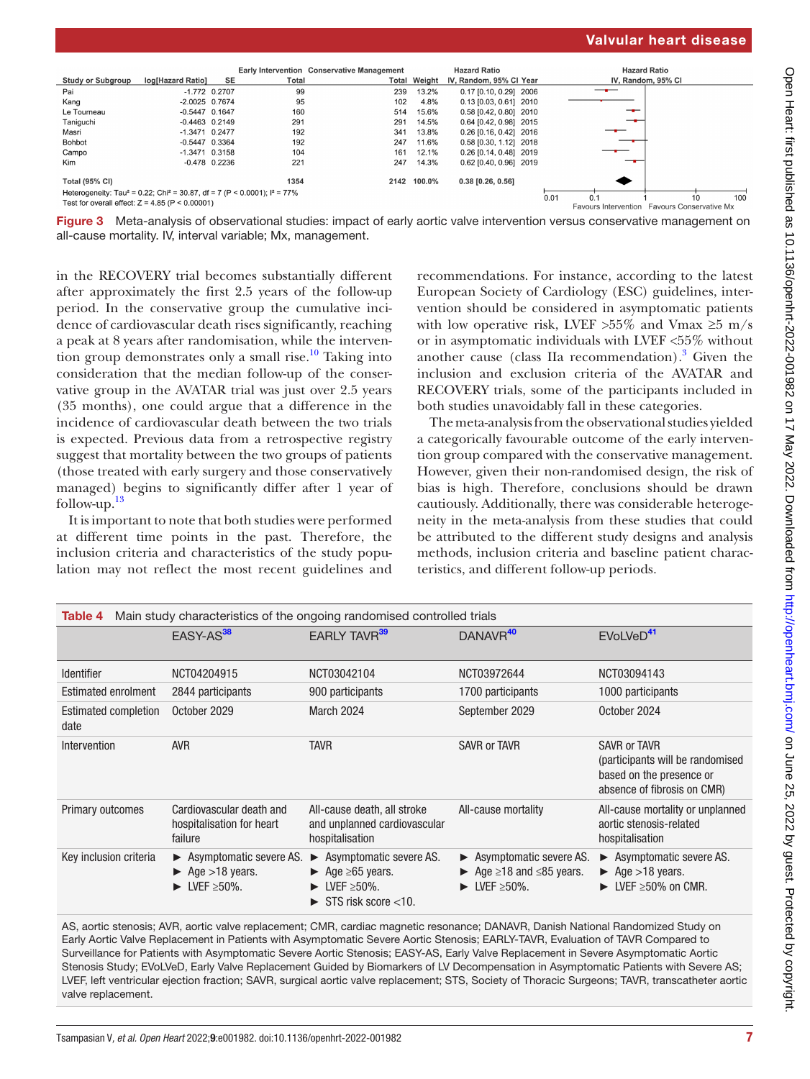|                                                                                                   |                   |                 |       | <b>Early Intervention Conservative Management</b> |                                              | <b>Hazard Ratio</b>     |             | <b>Hazard Ratio</b> |     |  |
|---------------------------------------------------------------------------------------------------|-------------------|-----------------|-------|---------------------------------------------------|----------------------------------------------|-------------------------|-------------|---------------------|-----|--|
| <b>Study or Subgroup</b>                                                                          | log[Hazard Ratio] | <b>SE</b>       | Total |                                                   | <b>Total Weight</b>                          | IV, Random, 95% CI Year |             | IV, Random, 95% CI  |     |  |
| Pai                                                                                               |                   | $-1.772$ 0.2707 | 99    | 239                                               | 13.2%                                        | 0.17 [0.10, 0.29] 2006  |             |                     |     |  |
| Kang                                                                                              | $-2.0025$ 0.7674  |                 | 95    | 102                                               | 4.8%                                         | 0.13 [0.03, 0.61] 2010  |             |                     |     |  |
| Le Tourneau                                                                                       | $-0.5447$ 0.1647  |                 | 160   | 514                                               | 15.6%                                        | 0.58 [0.42, 0.80] 2010  |             |                     |     |  |
| Taniguchi                                                                                         | $-0.4463$ 0.2149  |                 | 291   | 291                                               | 14.5%                                        | 0.64 [0.42, 0.98] 2015  |             |                     |     |  |
| Masri                                                                                             | $-1.3471$ 0.2477  |                 | 192   | 341                                               | 13.8%                                        | 0.26 [0.16, 0.42] 2016  |             |                     |     |  |
| <b>Bohbot</b>                                                                                     | $-0.5447$ 0.3364  |                 | 192   | 247                                               | 11.6%                                        | 0.58 [0.30, 1.12] 2018  |             |                     |     |  |
| Campo                                                                                             | $-1.3471$ 0.3158  |                 | 104   | 161                                               | 12.1%                                        | 0.26 [0.14, 0.48] 2019  |             |                     |     |  |
| Kim                                                                                               |                   | $-0.478$ 0.2236 | 221   | 247                                               | 14.3%                                        | 0.62 [0.40, 0.96] 2019  |             |                     |     |  |
| <b>Total (95% CI)</b>                                                                             |                   |                 | 1354  | 2142                                              | 100.0%                                       | $0.38$ [0.26, 0.56]     |             |                     |     |  |
| Heterogeneity: Tau <sup>2</sup> = 0.22; Chi <sup>2</sup> = 30.87, df = 7 (P < 0.0001); $P = 77\%$ |                   |                 |       |                                                   |                                              |                         | 0.01<br>0.1 | 10                  | 100 |  |
| Test for overall effect: $Z = 4.85$ (P < 0.00001)                                                 |                   |                 |       |                                                   | Favours Intervention Favours Conservative Mx |                         |             |                     |     |  |

<span id="page-6-0"></span>

in the RECOVERY trial becomes substantially different after approximately the first 2.5 years of the follow-up period. In the conservative group the cumulative incidence of cardiovascular death rises significantly, reaching a peak at 8 years after randomisation, while the intervention group demonstrates only a small rise.<sup>10</sup> Taking into consideration that the median follow-up of the conservative group in the AVATAR trial was just over 2.5 years (35 months), one could argue that a difference in the incidence of cardiovascular death between the two trials is expected. Previous data from a retrospective registry suggest that mortality between the two groups of patients (those treated with early surgery and those conservatively managed) begins to significantly differ after 1 year of follow-up. [13](#page-8-19)

It is important to note that both studies were performed at different time points in the past. Therefore, the inclusion criteria and characteristics of the study population may not reflect the most recent guidelines and

recommendations. For instance, according to the latest European Society of Cardiology (ESC) guidelines, intervention should be considered in asymptomatic patients with low operative risk, LVEF > 55% and Vmax  $\geq 5$  m/s or in asymptomatic individuals with LVEF <55% without another cause (class IIa recommendation). $3$  Given the inclusion and exclusion criteria of the AVATAR and RECOVERY trials, some of the participants included in both studies unavoidably fall in these categories.

The meta-analysis from the observational studies yielded a categorically favourable outcome of the early intervention group compared with the conservative management. However, given their non-randomised design, the risk of bias is high. Therefore, conclusions should be drawn cautiously. Additionally, there was considerable heterogeneity in the meta-analysis from these studies that could be attributed to the different study designs and analysis methods, inclusion criteria and baseline patient characteristics, and different follow-up periods.

<span id="page-6-1"></span>

| Main study characteristics of the ongoing randomised controlled trials<br>Table 4 |                                                                                                              |                                                                                                                                                                    |                                                                                                                                 |                                                                                                                     |  |
|-----------------------------------------------------------------------------------|--------------------------------------------------------------------------------------------------------------|--------------------------------------------------------------------------------------------------------------------------------------------------------------------|---------------------------------------------------------------------------------------------------------------------------------|---------------------------------------------------------------------------------------------------------------------|--|
|                                                                                   | EASY-AS <sup>38</sup>                                                                                        | EARLY TAVR <sup>39</sup>                                                                                                                                           | DANAVR <sup>40</sup>                                                                                                            | EVoLVeD <sup>41</sup>                                                                                               |  |
| <b>Identifier</b>                                                                 | NCT04204915                                                                                                  | NCT03042104                                                                                                                                                        | NCT03972644                                                                                                                     | NCT03094143                                                                                                         |  |
| Estimated enrolment                                                               | 2844 participants                                                                                            | 900 participants                                                                                                                                                   | 1700 participants                                                                                                               | 1000 participants                                                                                                   |  |
| <b>Estimated completion</b><br>date                                               | October 2029                                                                                                 | March 2024                                                                                                                                                         | September 2029                                                                                                                  | October 2024                                                                                                        |  |
| Intervention                                                                      | <b>AVR</b>                                                                                                   | <b>TAVR</b>                                                                                                                                                        | <b>SAVR or TAVR</b>                                                                                                             | <b>SAVR or TAVR</b><br>(participants will be randomised<br>based on the presence or<br>absence of fibrosis on CMR)  |  |
| Primary outcomes                                                                  | Cardiovascular death and<br>hospitalisation for heart<br>failure                                             | All-cause death, all stroke<br>and unplanned cardiovascular<br>hospitalisation                                                                                     | All-cause mortality                                                                                                             | All-cause mortality or unplanned<br>aortic stenosis-related<br>hospitalisation                                      |  |
| Key inclusion criteria                                                            | ► Asymptomatic severe AS.<br>$\blacktriangleright$ Age > 18 years.<br>$\blacktriangleright$ LVEF $\geq$ 50%. | Asymptomatic severe AS.<br>$\blacktriangleright$<br>$\blacktriangleright$ Age $\geq 65$ years.<br>$\blacktriangleright$ LVEF $\geq$ 50%.<br>STS risk score $<$ 10. | ► Asymptomatic severe AS.<br>$\blacktriangleright$ Age $\geq$ 18 and $\leq$ 85 years.<br>$\blacktriangleright$ LVEF $\geq$ 50%. | ► Asymptomatic severe AS.<br>$\blacktriangleright$ Age > 18 years.<br>$\blacktriangleright$ LVEF $\geq$ 50% on CMR. |  |

AS, aortic stenosis; AVR, aortic valve replacement; CMR, cardiac magnetic resonance; DANAVR, Danish National Randomized Study on Early Aortic Valve Replacement in Patients with Asymptomatic Severe Aortic Stenosis; EARLY-TAVR, Evaluation of TAVR Compared to Surveillance for Patients with Asymptomatic Severe Aortic Stenosis; EASY-AS, Early Valve Replacement in Severe Asymptomatic Aortic Stenosis Study; EVoLVeD, Early Valve Replacement Guided by Biomarkers of LV Decompensation in Asymptomatic Patients with Severe AS; LVEF, left ventricular ejection fraction; SAVR, surgical aortic valve replacement; STS, Society of Thoracic Surgeons; TAVR, transcatheter aortic valve replacement.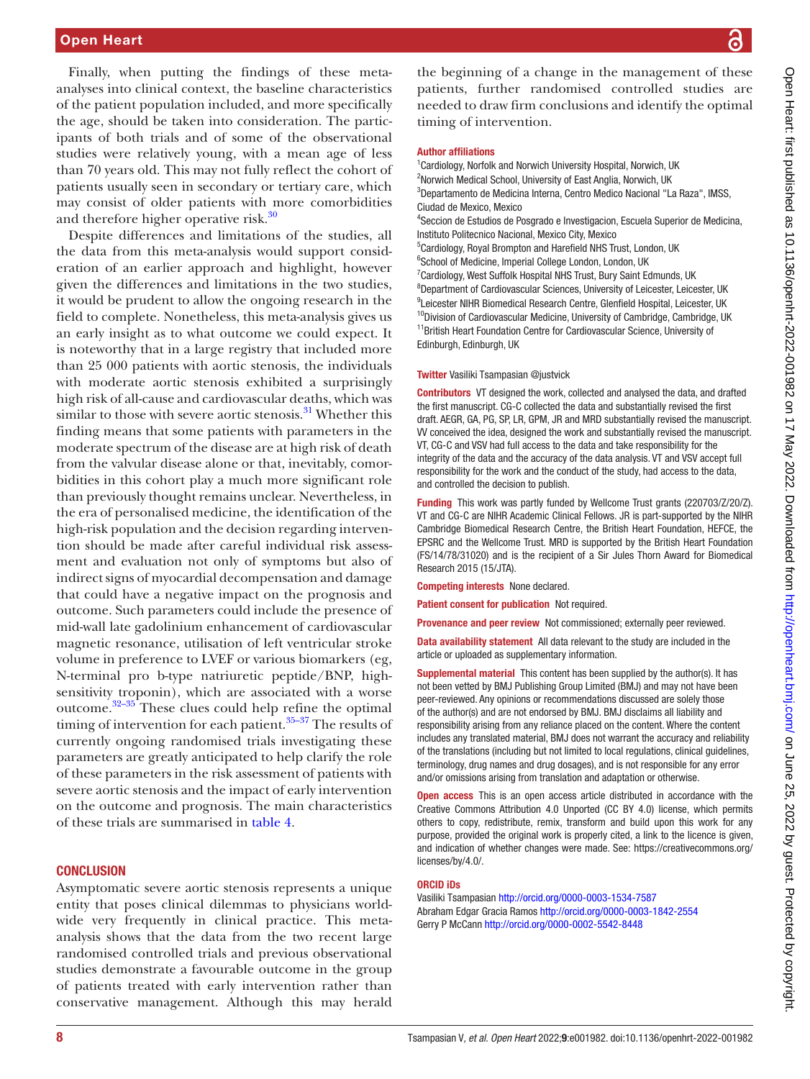Finally, when putting the findings of these metaanalyses into clinical context, the baseline characteristics of the patient population included, and more specifically the age, should be taken into consideration. The participants of both trials and of some of the observational studies were relatively young, with a mean age of less than 70 years old. This may not fully reflect the cohort of patients usually seen in secondary or tertiary care, which may consist of older patients with more comorbidities and therefore higher operative risk.<sup>30</sup>

Despite differences and limitations of the studies, all the data from this meta-analysis would support consideration of an earlier approach and highlight, however given the differences and limitations in the two studies, it would be prudent to allow the ongoing research in the field to complete. Nonetheless, this meta-analysis gives us an early insight as to what outcome we could expect. It is noteworthy that in a large registry that included more than 25 000 patients with aortic stenosis, the individuals with moderate aortic stenosis exhibited a surprisingly high risk of all-cause and cardiovascular deaths, which was similar to those with severe aortic stenosis.<sup>31</sup> Whether this finding means that some patients with parameters in the moderate spectrum of the disease are at high risk of death from the valvular disease alone or that, inevitably, comorbidities in this cohort play a much more significant role than previously thought remains unclear. Nevertheless, in the era of personalised medicine, the identification of the high-risk population and the decision regarding intervention should be made after careful individual risk assessment and evaluation not only of symptoms but also of indirect signs of myocardial decompensation and damage that could have a negative impact on the prognosis and outcome. Such parameters could include the presence of mid-wall late gadolinium enhancement of cardiovascular magnetic resonance, utilisation of left ventricular stroke volume in preference to LVEF or various biomarkers (eg, N-terminal pro b-type natriuretic peptide/BNP, highsensitivity troponin), which are associated with a worse outcome[.32–35](#page-8-28) These clues could help refine the optimal timing of intervention for each patient. $35-37$  The results of currently ongoing randomised trials investigating these parameters are greatly anticipated to help clarify the role of these parameters in the risk assessment of patients with severe aortic stenosis and the impact of early intervention on the outcome and prognosis. The main characteristics of these trials are summarised in [table](#page-6-1) 4.

#### **CONCLUSION**

Asymptomatic severe aortic stenosis represents a unique entity that poses clinical dilemmas to physicians worldwide very frequently in clinical practice. This metaanalysis shows that the data from the two recent large randomised controlled trials and previous observational studies demonstrate a favourable outcome in the group of patients treated with early intervention rather than conservative management. Although this may herald

the beginning of a change in the management of these patients, further randomised controlled studies are needed to draw firm conclusions and identify the optimal timing of intervention.

#### Author affiliations

<sup>1</sup> Cardiology, Norfolk and Norwich University Hospital, Norwich, UK <sup>2</sup>Norwich Medical School, University of East Anglia, Norwich, UK 3 Departamento de Medicina Interna, Centro Medico Nacional "La Raza", IMSS, Ciudad de Mexico, Mexico 4 Seccion de Estudios de Posgrado e Investigacion, Escuela Superior de Medicina, Instituto Politecnico Nacional, Mexico City, Mexico

<sup>5</sup>Cardiology, Royal Brompton and Harefield NHS Trust, London, UK <sup>6</sup>School of Medicine, Imperial College London, London, UK

<sup>7</sup> Cardiology, West Suffolk Hospital NHS Trust, Bury Saint Edmunds, UK <sup>8</sup>Department of Cardiovascular Sciences, University of Leicester, Leicester, UK <sup>9</sup>Leicester NIHR Biomedical Research Centre, Glenfield Hospital, Leicester, UK <sup>10</sup>Division of Cardiovascular Medicine, University of Cambridge, Cambridge, UK <sup>11</sup>British Heart Foundation Centre for Cardiovascular Science, University of Edinburgh, Edinburgh, UK

**Twitter Vasiliki Tsampasian [@justvick](https://twitter.com/justvick)** 

Contributors VT designed the work, collected and analysed the data, and drafted the first manuscript. CG-C collected the data and substantially revised the first draft. AEGR, GA, PG, SP, LR, GPM, JR and MRD substantially revised the manuscript. VV conceived the idea, designed the work and substantially revised the manuscript. VT, CG-C and VSV had full access to the data and take responsibility for the integrity of the data and the accuracy of the data analysis. VT and VSV accept full responsibility for the work and the conduct of the study, had access to the data, and controlled the decision to publish.

Funding This work was partly funded by Wellcome Trust grants (220703/Z/20/Z). VT and CG-C are NIHR Academic Clinical Fellows. JR is part-supported by the NIHR Cambridge Biomedical Research Centre, the British Heart Foundation, HEFCE, the EPSRC and the Wellcome Trust. MRD is supported by the British Heart Foundation (FS/14/78/31020) and is the recipient of a Sir Jules Thorn Award for Biomedical Research 2015 (15/JTA).

Competing interests None declared.

Patient consent for publication Not required.

Provenance and peer review Not commissioned; externally peer reviewed.

Data availability statement All data relevant to the study are included in the article or uploaded as supplementary information.

**Supplemental material** This content has been supplied by the author(s). It has not been vetted by BMJ Publishing Group Limited (BMJ) and may not have been peer-reviewed. Any opinions or recommendations discussed are solely those of the author(s) and are not endorsed by BMJ. BMJ disclaims all liability and responsibility arising from any reliance placed on the content. Where the content includes any translated material, BMJ does not warrant the accuracy and reliability of the translations (including but not limited to local regulations, clinical guidelines, terminology, drug names and drug dosages), and is not responsible for any error and/or omissions arising from translation and adaptation or otherwise.

Open access This is an open access article distributed in accordance with the Creative Commons Attribution 4.0 Unported (CC BY 4.0) license, which permits others to copy, redistribute, remix, transform and build upon this work for any purpose, provided the original work is properly cited, a link to the licence is given, and indication of whether changes were made. See: [https://creativecommons.org/](https://creativecommons.org/licenses/by/4.0/) [licenses/by/4.0/](https://creativecommons.org/licenses/by/4.0/).

#### ORCID iDs

Vasiliki Tsampasian <http://orcid.org/0000-0003-1534-7587> Abraham Edgar Gracia Ramos<http://orcid.org/0000-0003-1842-2554> Gerry P McCann <http://orcid.org/0000-0002-5542-8448>